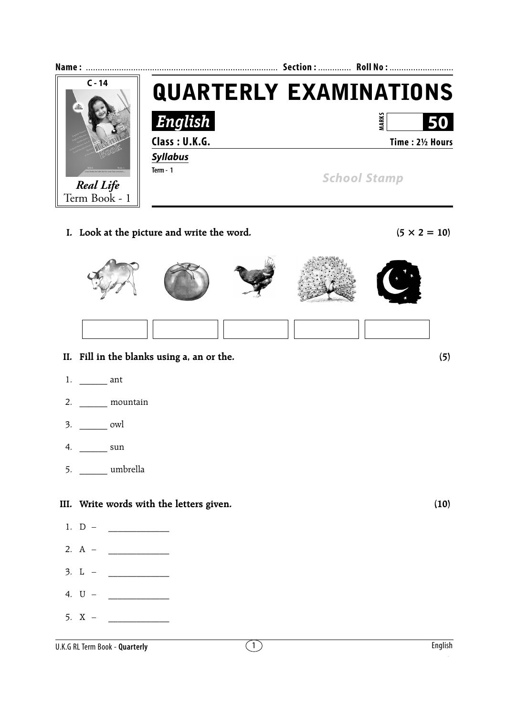

**I.** Look at the picture and write the word.  $(5 \times 2 = 10)$ 



- **II. Fill in the blanks using a, an or the. (5)**
- 1. \_\_\_\_\_\_ ant
- 2. \_\_\_\_\_\_ mountain
- 3. \_\_\_\_\_\_ owl
- 4. \_\_\_\_\_\_ sun
- 5. \_\_\_\_\_\_ umbrella

## **III. Write words with the letters given. (10)**

- 1.  $D -$
- 2. A  $\qquad \qquad$
- $3. \, L \, \, \, \, \, \, \, \, \,$
- 4.  $U -$
- 5.  $X -$